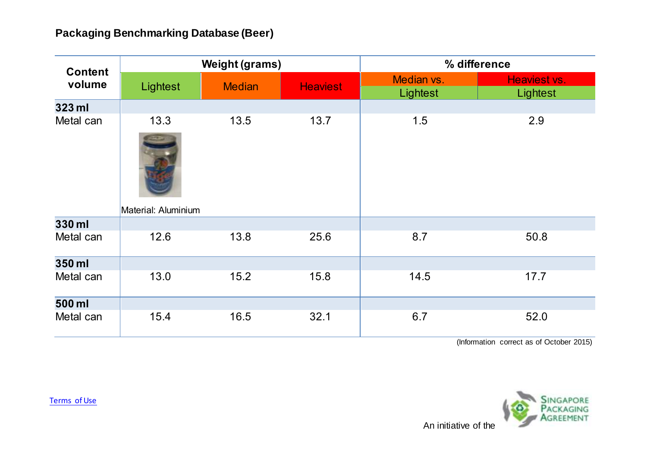| <b>Content</b><br>volume | <b>Weight (grams)</b>       |               |                 | % difference           |                          |
|--------------------------|-----------------------------|---------------|-----------------|------------------------|--------------------------|
|                          | Lightest                    | <b>Median</b> | <b>Heaviest</b> | Median vs.<br>Lightest | Heaviest vs.<br>Lightest |
| 323 ml                   |                             |               |                 |                        |                          |
| Metal can                | 13.3<br>Material: Aluminium | 13.5          | 13.7            | 1.5                    | 2.9                      |
| 330 ml                   |                             |               |                 |                        |                          |
| Metal can                | 12.6                        | 13.8          | 25.6            | 8.7                    | 50.8                     |
| 350 ml                   |                             |               |                 |                        |                          |
| Metal can                | 13.0                        | 15.2          | 15.8            | 14.5                   | 17.7                     |
| 500 ml                   |                             |               |                 |                        |                          |
| Metal can                | 15.4                        | 16.5          | 32.1            | 6.7                    | 52.0                     |

(Information correct as of October 2015)



[Terms of Use](http://www.nea.gov.sg/terms-of-use/)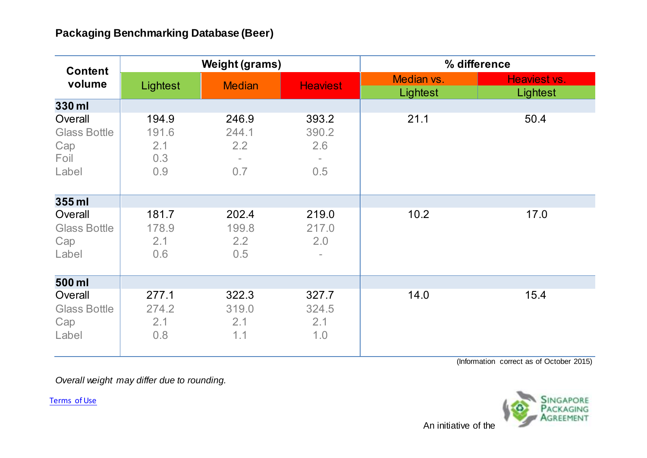| <b>Content</b><br>volume                               | <b>Weight (grams)</b>               |                              |                                         | % difference           |                          |
|--------------------------------------------------------|-------------------------------------|------------------------------|-----------------------------------------|------------------------|--------------------------|
|                                                        | Lightest                            | <b>Median</b>                | <b>Heaviest</b>                         | Median vs.<br>Lightest | Heaviest vs.<br>Lightest |
| 330 ml                                                 |                                     |                              |                                         |                        |                          |
| Overall<br><b>Glass Bottle</b><br>Cap<br>Foil<br>Label | 194.9<br>191.6<br>2.1<br>0.3<br>0.9 | 246.9<br>244.1<br>2.2<br>0.7 | 393.2<br>390.2<br>2.6<br>0.5            | 21.1                   | 50.4                     |
| 355 ml                                                 |                                     |                              |                                         |                        |                          |
| Overall<br><b>Glass Bottle</b><br>Cap<br>Label         | 181.7<br>178.9<br>2.1<br>0.6        | 202.4<br>199.8<br>2.2<br>0.5 | 219.0<br>217.0<br>2.0<br>$\blacksquare$ | 10.2                   | 17.0                     |
| 500 ml                                                 |                                     |                              |                                         |                        |                          |
| Overall<br><b>Glass Bottle</b><br>Cap<br>Label         | 277.1<br>274.2<br>2.1<br>0.8        | 322.3<br>319.0<br>2.1<br>1.1 | 327.7<br>324.5<br>2.1<br>1.0            | 14.0                   | 15.4                     |

(Information correct as of October 2015)

*Overall weight may differ due to rounding.*

[Terms of Use](http://www.nea.gov.sg/terms-of-use/)



An initiative of the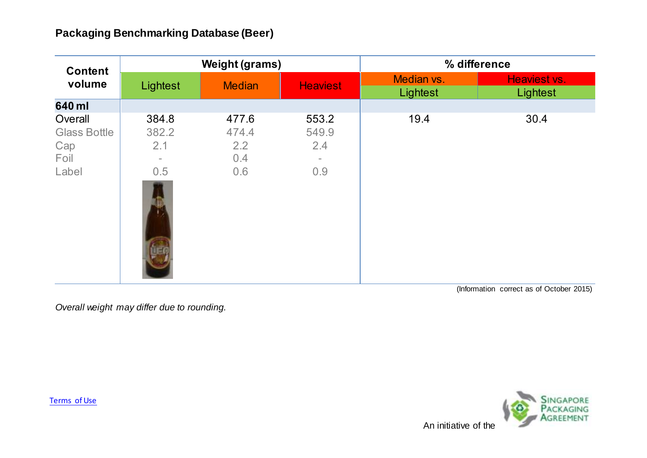| <b>Weight (grams)</b>                    |                                     |                                        | % difference           |                          |
|------------------------------------------|-------------------------------------|----------------------------------------|------------------------|--------------------------|
| Lightest                                 | <b>Median</b>                       | <b>Heaviest</b>                        | Median vs.<br>Lightest | Heaviest vs.<br>Lightest |
|                                          |                                     |                                        |                        |                          |
| 384.8<br>382.2<br>2.1<br>$\equiv$<br>0.5 | 477.6<br>474.4<br>2.2<br>0.4<br>0.6 | 553.2<br>549.9<br>2.4<br>$\sim$<br>0.9 | 19.4                   | 30.4                     |
|                                          |                                     |                                        |                        |                          |

(Information correct as of October 2015)

*Overall weight may differ due to rounding.*

[Terms of Use](http://www.nea.gov.sg/terms-of-use/)